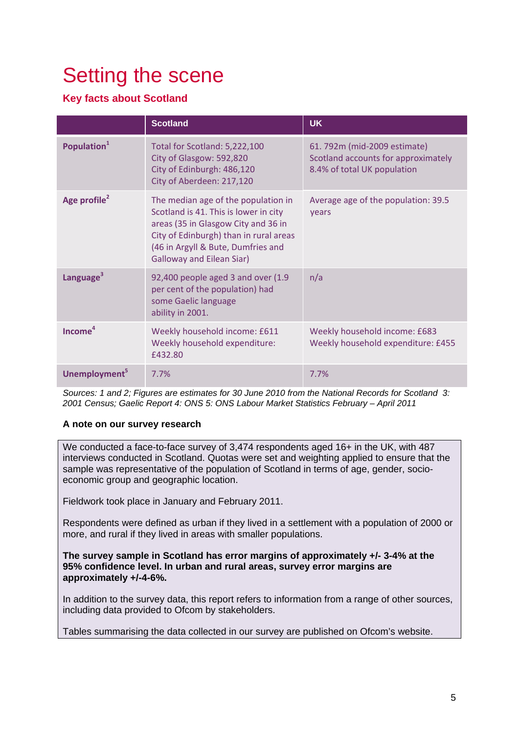# Setting the scene

# **Key facts about Scotland**

|                           | <b>Scotland</b>                                                                                                                                                                                                                         | <b>UK</b>                                                                                         |
|---------------------------|-----------------------------------------------------------------------------------------------------------------------------------------------------------------------------------------------------------------------------------------|---------------------------------------------------------------------------------------------------|
| Population <sup>1</sup>   | Total for Scotland: 5,222,100<br>City of Glasgow: 592,820<br>City of Edinburgh: 486,120<br>City of Aberdeen: 217,120                                                                                                                    | 61.792m (mid-2009 estimate)<br>Scotland accounts for approximately<br>8.4% of total UK population |
| Age profile <sup>2</sup>  | The median age of the population in<br>Scotland is 41. This is lower in city<br>areas (35 in Glasgow City and 36 in<br>City of Edinburgh) than in rural areas<br>(46 in Argyll & Bute, Dumfries and<br><b>Galloway and Eilean Siar)</b> | Average age of the population: 39.5<br>years                                                      |
| Language <sup>3</sup>     | 92,400 people aged 3 and over (1.9<br>per cent of the population) had<br>some Gaelic language<br>ability in 2001.                                                                                                                       | n/a                                                                                               |
| Income <sup>4</sup>       | Weekly household income: £611<br>Weekly household expenditure:<br>£432.80                                                                                                                                                               | Weekly household income: £683<br>Weekly household expenditure: £455                               |
| Unemployment <sup>5</sup> | 7.7%                                                                                                                                                                                                                                    | 7.7%                                                                                              |

*Sources: 1 and 2; Figures are estimates for 30 June 2010 from the National Records for Scotland 3: 2001 Census; Gaelic Report 4: ONS 5: ONS Labour Market Statistics February – April 2011*

# **A note on our survey research**

We conducted a face-to-face survey of 3,474 respondents aged 16+ in the UK, with 487 interviews conducted in Scotland. Quotas were set and weighting applied to ensure that the sample was representative of the population of Scotland in terms of age, gender, socioeconomic group and geographic location.

Fieldwork took place in January and February 2011.

Respondents were defined as urban if they lived in a settlement with a population of 2000 or more, and rural if they lived in areas with smaller populations.

**The survey sample in Scotland has error margins of approximately +/- 3-4% at the 95% confidence level. In urban and rural areas, survey error margins are approximately +/-4-6%.**

In addition to the survey data, this report refers to information from a range of other sources, including data provided to Ofcom by stakeholders.

Tables summarising the data collected in our survey are published on Ofcom's website.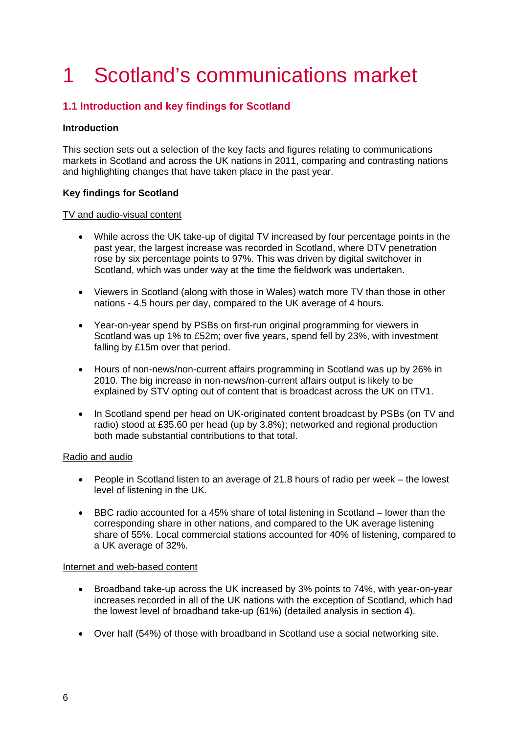# 1 Scotland's communications market

# **1.1 Introduction and key findings for Scotland**

## **Introduction**

This section sets out a selection of the key facts and figures relating to communications markets in Scotland and across the UK nations in 2011, comparing and contrasting nations and highlighting changes that have taken place in the past year.

## **Key findings for Scotland**

## TV and audio-visual content

- While across the UK take-up of digital TV increased by four percentage points in the past year, the largest increase was recorded in Scotland, where DTV penetration rose by six percentage points to 97%. This was driven by digital switchover in Scotland, which was under way at the time the fieldwork was undertaken.
- Viewers in Scotland (along with those in Wales) watch more TV than those in other nations - 4.5 hours per day, compared to the UK average of 4 hours.
- Year-on-year spend by PSBs on first-run original programming for viewers in Scotland was up 1% to £52m; over five years, spend fell by 23%, with investment falling by £15m over that period.
- Hours of non-news/non-current affairs programming in Scotland was up by 26% in 2010. The big increase in non-news/non-current affairs output is likely to be explained by STV opting out of content that is broadcast across the UK on ITV1.
- In Scotland spend per head on UK-originated content broadcast by PSBs (on TV and radio) stood at £35.60 per head (up by 3.8%); networked and regional production both made substantial contributions to that total.

## Radio and audio

- People in Scotland listen to an average of 21.8 hours of radio per week the lowest level of listening in the UK.
- BBC radio accounted for a 45% share of total listening in Scotland lower than the corresponding share in other nations, and compared to the UK average listening share of 55%. Local commercial stations accounted for 40% of listening, compared to a UK average of 32%.

#### Internet and web-based content

- Broadband take-up across the UK increased by 3% points to 74%, with year-on-year increases recorded in all of the UK nations with the exception of Scotland, which had the lowest level of broadband take-up (61%) (detailed analysis in section 4).
- Over half (54%) of those with broadband in Scotland use a social networking site.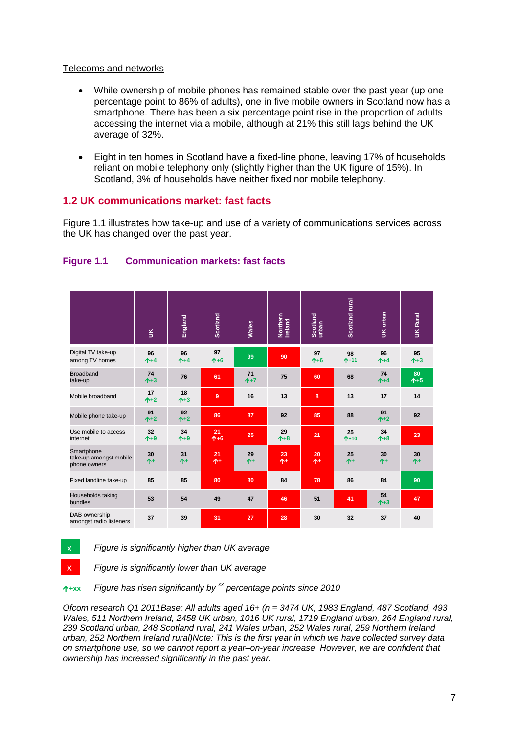#### Telecoms and networks

- While ownership of mobile phones has remained stable over the past year (up one percentage point to 86% of adults), one in five mobile owners in Scotland now has a smartphone. There has been a six percentage point rise in the proportion of adults accessing the internet via a mobile, although at 21% this still lags behind the UK average of 32%.
- Eight in ten homes in Scotland have a fixed-line phone, leaving 17% of households reliant on mobile telephony only (slightly higher than the UK figure of 15%). In Scotland, 3% of households have neither fixed nor mobile telephony.

# **1.2 UK communications market: fast facts**

[Figure 1.1](#page-2-0) illustrates how take-up and use of a variety of communications services across the UK has changed over the past year.

|                                                                                                                                                                                                                                                                                                                                                                                                                                                               | $\leq$           | England                | <b>Scotland</b> | Wales            | Northern<br>Ireland | <b>Scotland</b><br>urban | Scotland rural | UK urban               | UK Rural              |
|---------------------------------------------------------------------------------------------------------------------------------------------------------------------------------------------------------------------------------------------------------------------------------------------------------------------------------------------------------------------------------------------------------------------------------------------------------------|------------------|------------------------|-----------------|------------------|---------------------|--------------------------|----------------|------------------------|-----------------------|
| Digital TV take-up<br>among TV homes                                                                                                                                                                                                                                                                                                                                                                                                                          | 96<br>$+4$       | 96<br>$^{\uparrow +4}$ | 97<br>$+6$      | 99               | 90                  | 97<br>$+6$               | 98<br>$+11$    | 96<br>$\uparrow + 4$   | 95<br>$+3$            |
| <b>Broadband</b><br>take-up                                                                                                                                                                                                                                                                                                                                                                                                                                   | 74<br>$+3$       | 76                     | 61              | 71<br>$+7$       | 75                  | 60                       | 68             | 74<br>$^{\uparrow +4}$ | 80<br>$+5$            |
| Mobile broadband                                                                                                                                                                                                                                                                                                                                                                                                                                              | 17<br>$+2$       | 18<br>$+3$             | $\overline{9}$  | 16               | 13                  | 8                        | 13             | 17                     | 14                    |
| Mobile phone take-up                                                                                                                                                                                                                                                                                                                                                                                                                                          | 91<br>$+2$       | 92<br>$+2$             | 86              | 87               | 92                  | 85                       | 88             | 91<br>$+2$             | 92                    |
| Use mobile to access<br>internet                                                                                                                                                                                                                                                                                                                                                                                                                              | 32<br>$+9$       | 34<br>$+9$             | 21<br>$+6$      | 25               | 29<br>$+8$          | 21                       | 25<br>$+10$    | 34<br>$+8$             | 23                    |
| Smartphone<br>take-up amongst mobile<br>phone owners                                                                                                                                                                                                                                                                                                                                                                                                          | 30<br><b>ለ</b> + | 31<br>ሉ+               | 21<br>^+        | 29<br><b>ለ</b> + | 23<br>$\uparrow$    | 20<br><b>ተ</b>           | 25<br>ኍ+       | 30<br>^+               | 30<br>$^{\uparrow +}$ |
| Fixed landline take-up                                                                                                                                                                                                                                                                                                                                                                                                                                        | 85               | 85                     | 80              | 80               | 84                  | 78                       | 86             | 84                     | 90                    |
| Households taking<br>bundles                                                                                                                                                                                                                                                                                                                                                                                                                                  | 53               | 54                     | 49              | 47               | 46                  | 51                       | 41             | 54<br>个+3              | 47                    |
| DAB ownership<br>amongst radio listeners                                                                                                                                                                                                                                                                                                                                                                                                                      | 37               | 39                     | 31              | 27               | 28                  | 30                       | 32             | 37                     | 40                    |
| Figure is significantly higher than UK average<br>$\mathsf{X}^-$<br>Figure is significantly lower than UK average<br>X<br>Figure has risen significantly by <sup>xx</sup> percentage points since 2010<br>$+xx$<br>Ofcom research Q1 2011Base: All adults aged 16+ (n = 3474 UK, 1983 England, 487 Scotland,                                                                                                                                                  |                  |                        |                 |                  |                     |                          |                |                        |                       |
| Wales, 511 Northern Ireland, 2458 UK urban, 1016 UK rural, 1719 England urban, 264 England<br>239 Scotland urban, 248 Scotland rural, 241 Wales urban, 252 Wales rural, 259 Northern Ireland<br>urban, 252 Northern Ireland rural)Note: This is the first year in which we have collected survey d<br>on smartphone use, so we cannot report a year-on-year increase. However, we are confident th<br>ownership has increased significantly in the past year. |                  |                        |                 |                  |                     |                          |                |                        |                       |

## <span id="page-2-0"></span>**Figure 1.1 Communication markets: fast facts**

*Ofcom research Q1 2011Base: All adults aged 16+ (n = 3474 UK, 1983 England, 487 Scotland, 493 Wales, 511 Northern Ireland, 2458 UK urban, 1016 UK rural, 1719 England urban, 264 England rural, 239 Scotland urban, 248 Scotland rural, 241 Wales urban, 252 Wales rural, 259 Northern Ireland urban, 252 Northern Ireland rural)Note: This is the first year in which we have collected survey data on smartphone use, so we cannot report a year–on-year increase. However, we are confident that*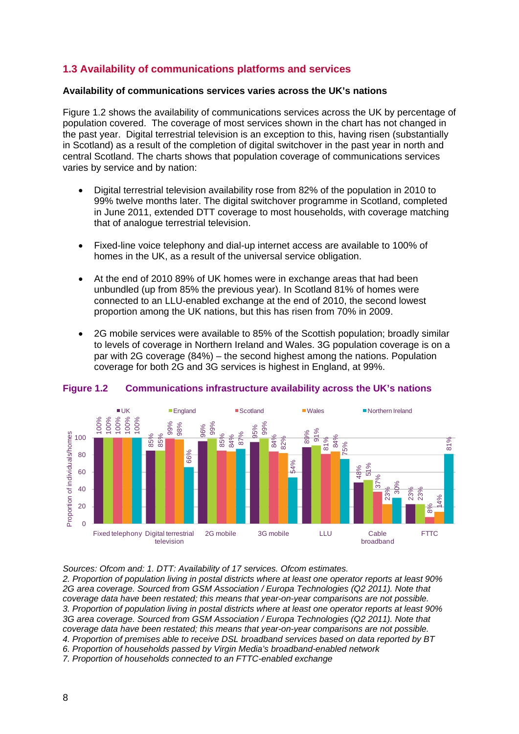# **1.3 Availability of communications platforms and services**

#### **Availability of communications services varies across the UK's nations**

[Figure 1.2](#page-3-0) shows the availability of communications services across the UK by percentage of population covered. The coverage of most services shown in the chart has not changed in the past year. Digital terrestrial television is an exception to this, having risen (substantially in Scotland) as a result of the completion of digital switchover in the past year in north and central Scotland. The charts shows that population coverage of communications services varies by service and by nation:

- Digital terrestrial television availability rose from 82% of the population in 2010 to 99% twelve months later. The digital switchover programme in Scotland, completed in June 2011, extended DTT coverage to most households, with coverage matching that of analogue terrestrial television.
- Fixed-line voice telephony and dial-up internet access are available to 100% of homes in the UK, as a result of the universal service obligation.
- At the end of 2010 89% of UK homes were in exchange areas that had been unbundled (up from 85% the previous year). In Scotland 81% of homes were connected to an LLU-enabled exchange at the end of 2010, the second lowest proportion among the UK nations, but this has risen from 70% in 2009.
- 2G mobile services were available to 85% of the Scottish population; broadly similar to levels of coverage in Northern Ireland and Wales. 3G population coverage is on a par with 2G coverage (84%) – the second highest among the nations. Population coverage for both 2G and 3G services is highest in England, at 99%.



## <span id="page-3-0"></span>**Figure 1.2 Communications infrastructure availability across the UK's nations**

#### *Sources: Ofcom and: 1. DTT: Availability of 17 services. Ofcom estimates.*

*2. Proportion of population living in postal districts where at least one operator reports at least 90% 2G area coverage. Sourced from GSM Association / Europa Technologies (Q2 2011). Note that coverage data have been restated; this means that year-on-year comparisons are not possible. 3. Proportion of population living in postal districts where at least one operator reports at least 90% 3G area coverage. Sourced from GSM Association / Europa Technologies (Q2 2011). Note that coverage data have been restated; this means that year-on-year comparisons are not possible. 4. Proportion of premises able to receive DSL broadband services based on data reported by BT 6. Proportion of households passed by Virgin Media's broadband-enabled network*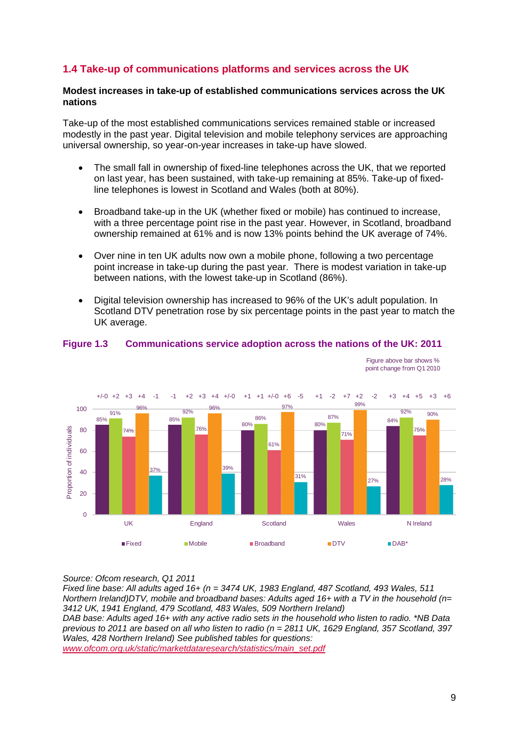# **1.4 Take-up of communications platforms and services across the UK**

#### **Modest increases in take-up of established communications services across the UK nations**

Take-up of the most established communications services remained stable or increased modestly in the past year. Digital television and mobile telephony services are approaching universal ownership, so year-on-year increases in take-up have slowed.

- The small fall in ownership of fixed-line telephones across the UK, that we reported on last year, has been sustained, with take-up remaining at 85%. Take-up of fixedline telephones is lowest in Scotland and Wales (both at 80%).
- Broadband take-up in the UK (whether fixed or mobile) has continued to increase, with a three percentage point rise in the past year. However, in Scotland, broadband ownership remained at 61% and is now 13% points behind the UK average of 74%.
- Over nine in ten UK adults now own a mobile phone, following a two percentage point increase in take-up during the past year. There is modest variation in take-up between nations, with the lowest take-up in Scotland (86%).
- Digital television ownership has increased to 96% of the UK's adult population. In Scotland DTV penetration rose by six percentage points in the past year to match the UK average.



## **Figure 1.3 Communications service adoption across the nations of the UK: 2011**

*Source: Ofcom research, Q1 2011* 

*Fixed line base: All adults aged 16+ (n = 3474 UK, 1983 England, 487 Scotland, 493 Wales, 511 Northern Ireland)DTV, mobile and broadband bases: Adults aged 16+ with a TV in the household (n= 3412 UK, 1941 England, 479 Scotland, 483 Wales, 509 Northern Ireland)*

*DAB base: Adults aged 16+ with any active radio sets in the household who listen to radio. \*NB Data previous to 2011 are based on all who listen to radio (n = 2811 UK, 1629 England, 357 Scotland, 397 Wales, 428 Northern Ireland) See published tables for questions:* 

*[www.ofcom.org.uk/static/marketdataresearch/statistics/main\\_set.pdf](http://www.ofcom.org.uk/static/marketdataresearch/statistics/main_set.pdf)*

Figure above bar shows % point change from Q1 2010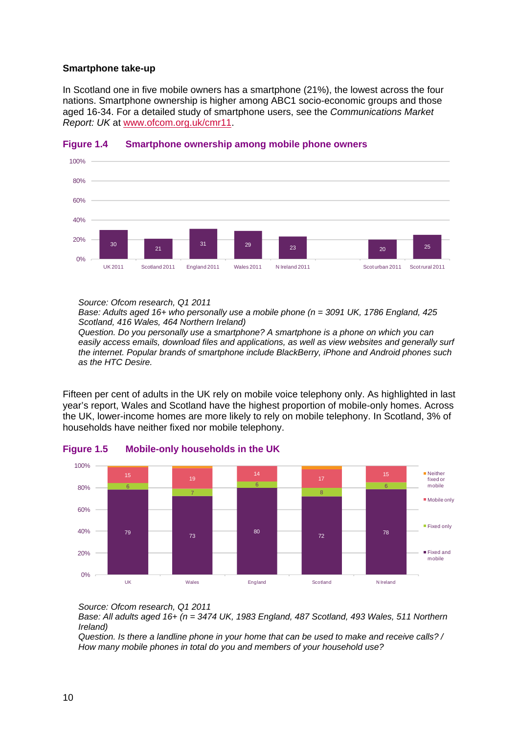#### **Smartphone take-up**

In Scotland one in five mobile owners has a smartphone (21%), the lowest across the four nations. Smartphone ownership is higher among ABC1 socio-economic groups and those aged 16-34. For a detailed study of smartphone users, see the *Communications Market Report: UK* at www.ofcom.org.uk/cmr11.



#### **Figure 1.4 Smartphone ownership among mobile phone owners**

#### *Source: Ofcom research, Q1 2011*

*Base: Adults aged 16+ who personally use a mobile phone (n = 3091 UK, 1786 England, 425 Scotland, 416 Wales, 464 Northern Ireland)* 

*Question. Do you personally use a smartphone? A smartphone is a phone on which you can*  easily access emails, download files and applications, as well as view websites and generally surf *the internet. Popular brands of smartphone include BlackBerry, iPhone and Android phones such as the HTC Desire.* 

Fifteen per cent of adults in the UK rely on mobile voice telephony only. As highlighted in last year's report, Wales and Scotland have the highest proportion of mobile-only homes. Across the UK, lower-income homes are more likely to rely on mobile telephony. In Scotland, 3% of households have neither fixed nor mobile telephony.



## **Figure 1.5 Mobile-only households in the UK**

*Source: Ofcom research, Q1 2011* 

*Base: All adults aged 16+ (n = 3474 UK, 1983 England, 487 Scotland, 493 Wales, 511 Northern Ireland)* 

*Question. Is there a landline phone in your home that can be used to make and receive calls? / How many mobile phones in total do you and members of your household use?*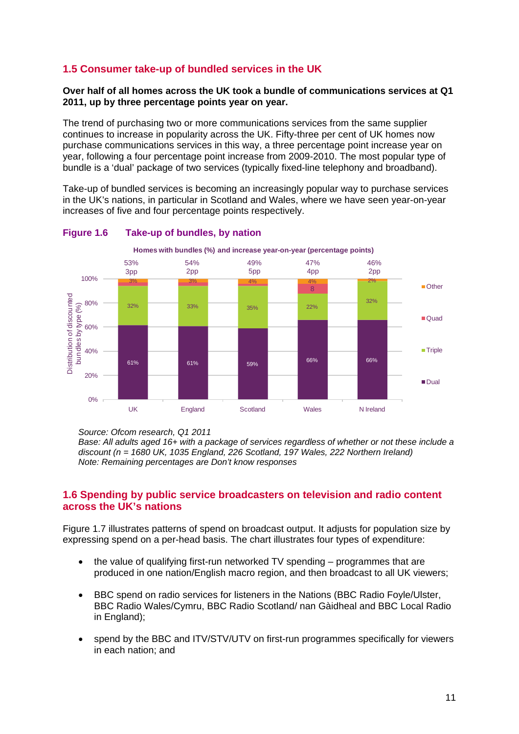# **1.5 Consumer take-up of bundled services in the UK**

#### **Over half of all homes across the UK took a bundle of communications services at Q1 2011, up by three percentage points year on year.**

The trend of purchasing two or more communications services from the same supplier continues to increase in popularity across the UK. Fifty-three per cent of UK homes now purchase communications services in this way, a three percentage point increase year on year, following a four percentage point increase from 2009-2010. The most popular type of bundle is a 'dual' package of two services (typically fixed-line telephony and broadband).

Take-up of bundled services is becoming an increasingly popular way to purchase services in the UK's nations, in particular in Scotland and Wales, where we have seen year-on-year increases of five and four percentage points respectively.



## **Figure 1.6 Take-up of bundles, by nation**

*Source: Ofcom research, Q1 2011* 

*Base: All adults aged 16+ with a package of services regardless of whether or not these include a discount (n = 1680 UK, 1035 England, 226 Scotland, 197 Wales, 222 Northern Ireland) Note: Remaining percentages are Don't know responses*

# **1.6 Spending by public service broadcasters on television and radio content across the UK's nations**

[Figure 1.7](#page-7-0) illustrates patterns of spend on broadcast output. It adjusts for population size by expressing spend on a per-head basis. The chart illustrates four types of expenditure:

- the value of qualifying first-run networked TV spending programmes that are produced in one nation/English macro region, and then broadcast to all UK viewers;
- BBC spend on radio services for listeners in the Nations (BBC Radio Foyle/Ulster, BBC Radio Wales/Cymru, BBC Radio Scotland/ nan Gàidheal and BBC Local Radio in England);
- spend by the BBC and ITV/STV/UTV on first-run programmes specifically for viewers in each nation; and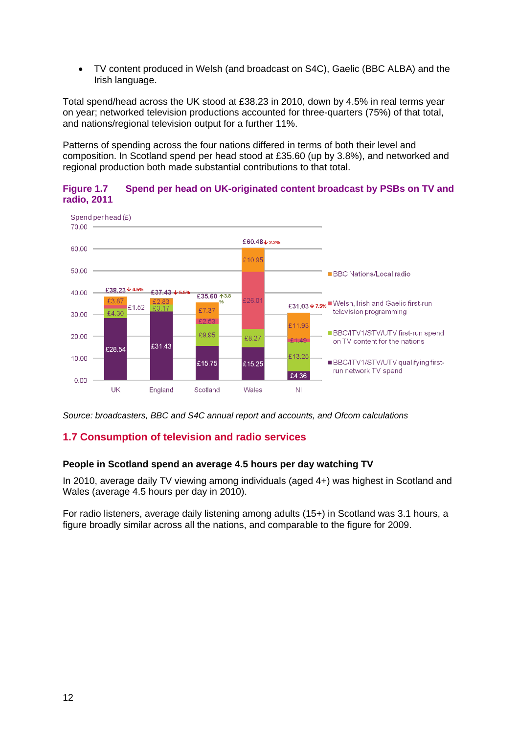• TV content produced in Welsh (and broadcast on S4C), Gaelic (BBC ALBA) and the Irish language.

Total spend/head across the UK stood at £38.23 in 2010, down by 4.5% in real terms year on year; networked television productions accounted for three-quarters (75%) of that total, and nations/regional television output for a further 11%.

Patterns of spending across the four nations differed in terms of both their level and composition. In Scotland spend per head stood at £35.60 (up by 3.8%), and networked and regional production both made substantial contributions to that total.

<span id="page-7-0"></span>



*Source: broadcasters, BBC and S4C annual report and accounts, and Ofcom calculations*

# **1.7 Consumption of television and radio services**

## **People in Scotland spend an average 4.5 hours per day watching TV**

In 2010, average daily TV viewing among individuals (aged 4+) was highest in Scotland and Wales (average 4.5 hours per day in 2010).

For radio listeners, average daily listening among adults (15+) in Scotland was 3.1 hours, a figure broadly similar across all the nations, and comparable to the figure for 2009.